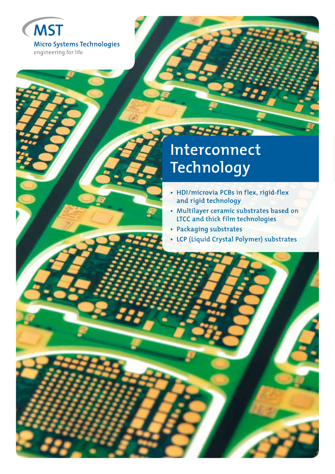

# **Interconnect Technology**

22222227

- **HDI/microvia PCBs in flex, rigid-flex and rigid technology**
- **Multilayer ceramic substrates based on LTCC and thick film technologies**
- **Packaging substrates**
- **LCP (Liquid Crystal Polymer) substrates**